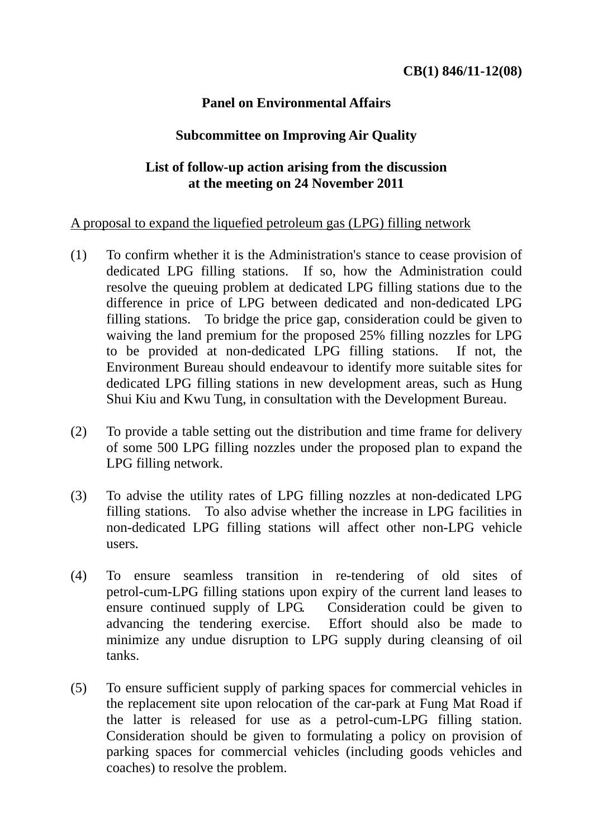## **Panel on Environmental Affairs**

## **Subcommittee on Improving Air Quality**

## **List of follow-up action arising from the discussion at the meeting on 24 November 2011**

## A proposal to expand the liquefied petroleum gas (LPG) filling network

- (1) To confirm whether it is the Administration's stance to cease provision of dedicated LPG filling stations. If so, how the Administration could resolve the queuing problem at dedicated LPG filling stations due to the difference in price of LPG between dedicated and non-dedicated LPG filling stations. To bridge the price gap, consideration could be given to waiving the land premium for the proposed 25% filling nozzles for LPG to be provided at non-dedicated LPG filling stations. If not, the Environment Bureau should endeavour to identify more suitable sites for dedicated LPG filling stations in new development areas, such as Hung Shui Kiu and Kwu Tung, in consultation with the Development Bureau.
- (2) To provide a table setting out the distribution and time frame for delivery of some 500 LPG filling nozzles under the proposed plan to expand the LPG filling network.
- (3) To advise the utility rates of LPG filling nozzles at non-dedicated LPG filling stations. To also advise whether the increase in LPG facilities in non-dedicated LPG filling stations will affect other non-LPG vehicle users.
- (4) To ensure seamless transition in re-tendering of old sites of petrol-cum-LPG filling stations upon expiry of the current land leases to ensure continued supply of LPG. Consideration could be given to advancing the tendering exercise. Effort should also be made to minimize any undue disruption to LPG supply during cleansing of oil tanks.
- (5) To ensure sufficient supply of parking spaces for commercial vehicles in the replacement site upon relocation of the car-park at Fung Mat Road if the latter is released for use as a petrol-cum-LPG filling station. Consideration should be given to formulating a policy on provision of parking spaces for commercial vehicles (including goods vehicles and coaches) to resolve the problem.